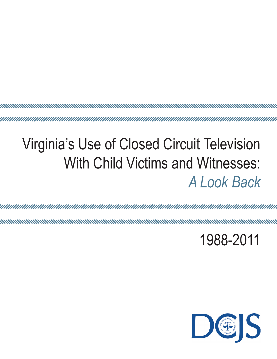# Virginia's Use of Closed Circuit Television With Child Victims and Witnesses:

<u> ununumummummummummummummummummum</u>

*A Look Back*

mmmmm 

1988-2011

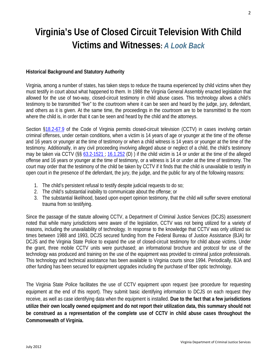# **Virginia's Use of Closed Circuit Television With Child Victims and Witnesses:** *A Look Back*

## **Historical Background and Statutory Authority**

Virginia, among a number of states, has taken steps to reduce the trauma experienced by child victims when they must testify in court about what happened to them. In 1988 the Virginia General Assembly enacted legislation that allowed for the use of two-way, closed-circuit testimony in child abuse cases. This technology allows a child's testimony to be transmitted "live" to the courtroom where it can be seen and heard by the judge, jury, defendant, and others as it is given. At the same time, the proceedings in the courtroom are to be transmitted to the room where the child is, in order that it can be seen and heard by the child and the attorneys.

Section [§18.2-67.9](http://leg1.state.va.us/cgi-bin/legp504.exe?000+cod+18.2-67.9) of the Code of Virginia permits closed-circuit television (CCTV) in cases involving certain criminal offenses, under certain conditions, when a victim is 14 years of age or younger at the time of the offense and 16 years or younger at the time of testimony or when a child witness is 14 years or younger at the time of the testimony. Additionally, in any civil proceeding involving alleged abuse or neglect of a child, the child's testimony may be taken via CCTV (§§ [63.2-1521 ;](http://leg1.state.va.us/cgi-bin/legp504.exe?000+cod+63.2-1521) [16.1.252](http://leg1.state.va.us/cgi-bin/legp504.exe?000+cod+16.1-252) (D) ) if the child victim is 14 or under at the time of the alleged offense and 16 years or younger at the time of testimony, or a witness is 14 or under at the time of testimony. The court may order that the testimony of the child be taken by CCTV if it finds that the child is unavailable to testify in open court in the presence of the defendant, the jury, the judge, and the public for any of the following reasons:

- 1. The child's persistent refusal to testify despite judicial requests to do so;
- 2. The child's substantial inability to communicate about the offense; or
- 3. The substantial likelihood, based upon expert opinion testimony, that the child will suffer severe emotional trauma from so testifying.

Since the passage of the statute allowing CCTV, a Department of Criminal Justice Services (DCJS) assessment noted that while many jurisdictions were aware of the legislation, CCTV was not being utilized for a variety of reasons, including the unavailability of technology. In response to the knowledge that CCTV was only utilized six times between 1988 and 1993, DCJS secured funding from the Federal Bureau of Justice Assistance (BJA) for DCJS and the Virginia State Police to expand the use of closed-circuit testimony for child abuse victims. Under the grant, three mobile CCTV units were purchased; an informational brochure and protocol for use of the technology was produced and training on the use of the equipment was provided to criminal justice professionals. This technology and technical assistance has been available to Virginia courts since 1994. Periodically, BJA and other funding has been secured for equipment upgrades including the purchase of fiber optic technology.

The Virginia State Police facilitates the use of CCTV equipment upon request (see procedure for requesting equipment at the end of this report). They submit basic identifying information to DCJS on each request they receive, as well as case identifying data when the equipment is installed. **Due to the fact that a few jurisdictions utilize their own locally owned equipment and do not report their utilization data, this summary should not be construed as a representation of the complete use of CCTV in child abuse cases throughout the Commonwealth of Virginia.**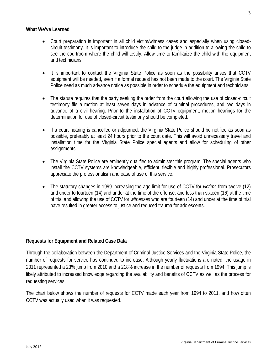#### **What We've Learned**

- Court preparation is important in all child victim/witness cases and especially when using closedcircuit testimony. It is important to introduce the child to the judge in addition to allowing the child to see the courtroom where the child will testify. Allow time to familiarize the child with the equipment and technicians.
- It is important to contact the Virginia State Police as soon as the possibility arises that CCTV equipment will be needed, even if a formal request has not been made to the court. The Virginia State Police need as much advance notice as possible in order to schedule the equipment and technicians.
- The statute requires that the party seeking the order from the court allowing the use of closed-circuit testimony file a motion at least seven days in advance of criminal procedures, and two days in advance of a civil hearing. Prior to the installation of CCTV equipment, motion hearings for the determination for use of closed-circuit testimony should be completed.
- If a court hearing is cancelled or adjourned, the Virginia State Police should be notified as soon as possible, preferably at least 24 hours prior to the court date. This will avoid unnecessary travel and installation time for the Virginia State Police special agents and allow for scheduling of other assignments.
- The Virginia State Police are eminently qualified to administer this program. The special agents who install the CCTV systems are knowledgeable, efficient, flexible and highly professional. Prosecutors appreciate the professionalism and ease of use of this service.
- The statutory changes in 1999 increasing the age limit for use of CCTV for *victims* from twelve (12) and under to fourteen (14) and under at the time of the offense, and less than sixteen (16) at the time of trial and allowing the use of CCTV for *witnesses* who are fourteen (14) and under at the time of trial have resulted in greater access to justice and reduced trauma for adolescents.

### **Requests for Equipment and Related Case Data**

Through the collaboration between the Department of Criminal Justice Services and the Virginia State Police, the number of requests for service has continued to increase. Although yearly fluctuations are noted, the usage in 2011 represented a 23% jump from 2010 and a 218% increase in the number of requests from 1994. This jump is likely attributed to increased knowledge regarding the availability and benefits of CCTV as well as the process for requesting services.

The chart below shows the number of requests for CCTV made each year from 1994 to 2011, and how often CCTV was actually used when it was requested.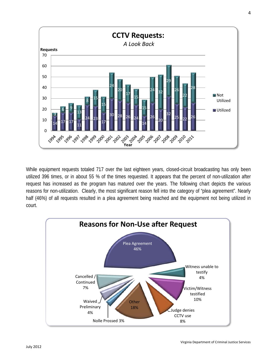

While equipment requests totaled 717 over the last eighteen years, closed-circuit broadcasting has only been utilized 396 times, or in about 55 % of the times requested. It appears that the percent of non-utilization after request has increased as the program has matured over the years. The following chart depicts the various reasons for non-utilization. Clearly, the most significant reason fell into the category of "plea agreement". Nearly half (46%) of all requests resulted in a plea agreement being reached and the equipment not being utilized in court.

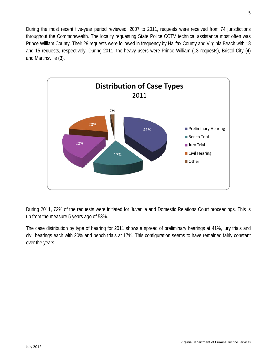During the most recent five-year period reviewed, 2007 to 2011, requests were received from 74 jurisdictions throughout the Commonwealth. The locality requesting State Police CCTV technical assistance most often was Prince William County. Their 29 requests were followed in frequency by Halifax County and Virginia Beach with 18 and 15 requests, respectively. During 2011, the heavy users were Prince William (13 requests), Bristol City (4) and Martinsville (3).



During 2011, 72% of the requests were initiated for Juvenile and Domestic Relations Court proceedings. This is up from the measure 5 years ago of 53%.

The case distribution by type of hearing for 2011 shows a spread of preliminary hearings at 41%, jury trials and civil hearings each with 20% and bench trials at 17%. This configuration seems to have remained fairly constant over the years.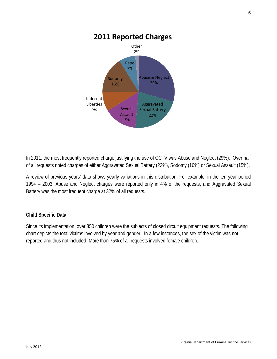

In 2011, the most frequently reported charge justifying the use of CCTV was Abuse and Neglect (29%). Over half of all requests noted charges of either Aggravated Sexual Battery (22%), Sodomy (16%) or Sexual Assault (15%).

A review of previous years' data shows yearly variations in this distribution. For example, in the ten year period 1994 – 2003, Abuse and Neglect charges were reported only in 4% of the requests, and Aggravated Sexual Battery was the most frequent charge at 32% of all requests.

# **Child Specific Data**

Since its implementation, over 850 children were the subjects of closed circuit equipment requests. The following chart depicts the total victims involved by year and gender. In a few instances, the sex of the victim was not reported and thus not included. More than 75% of all requests involved female children.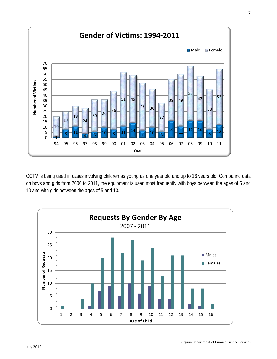

CCTV is being used in cases involving children as young as one year old and up to 16 years old. Comparing data on boys and girls from 2006 to 2011, the equipment is used most frequently with boys between the ages of 5 and 10 and with girls between the ages of 5 and 13.